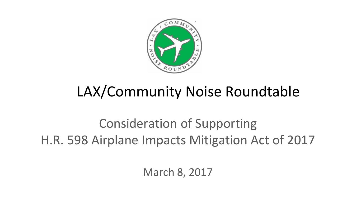

# LAX/Community Noise Roundtable

Consideration of Supporting H.R. 598 Airplane Impacts Mitigation Act of 2017

March 8, 2017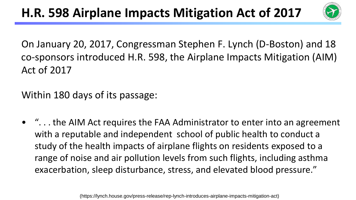

On January 20, 2017, Congressman Stephen F. Lynch (D-Boston) and 18 co-sponsors introduced H.R. 598, the Airplane Impacts Mitigation (AIM) Act of 2017

Within 180 days of its passage:

• ". . . the AIM Act requires the FAA Administrator to enter into an agreement with a reputable and independent school of public health to conduct a study of the health impacts of airplane flights on residents exposed to a range of noise and air pollution levels from such flights, including asthma exacerbation, sleep disturbance, stress, and elevated blood pressure."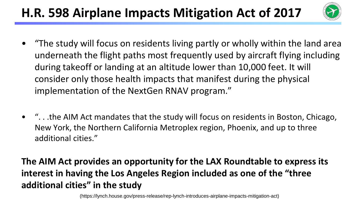## **H.R. 598 Airplane Impacts Mitigation Act of 2017**



- "The study will focus on residents living partly or wholly within the land area underneath the flight paths most frequently used by aircraft flying including during takeoff or landing at an altitude lower than 10,000 feet. It will consider only those health impacts that manifest during the physical implementation of the NextGen RNAV program."
- ". . .the AIM Act mandates that the study will focus on residents in Boston, Chicago, New York, the Northern California Metroplex region, Phoenix, and up to three additional cities."

#### **The AIM Act provides an opportunity for the LAX Roundtable to express its interest in having the Los Angeles Region included as one of the "three additional cities" in the study**

(https://lynch.house.gov/press-release/rep-lynch-introduces-airplane-impacts-mitigation-act)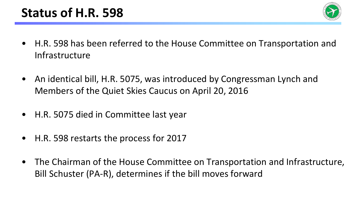

- H.R. 598 has been referred to the House Committee on Transportation and Infrastructure
- An identical bill, H.R. 5075, was introduced by Congressman Lynch and Members of the Quiet Skies Caucus on April 20, 2016
- H.R. 5075 died in Committee last year
- H.R. 598 restarts the process for 2017
- The Chairman of the House Committee on Transportation and Infrastructure, Bill Schuster (PA-R), determines if the bill moves forward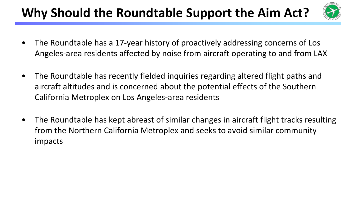# Why Should the Roundtable Support the Aim Act?



- The Roundtable has a 17-year history of proactively addressing concerns of Los Angeles-area residents affected by noise from aircraft operating to and from LAX
- The Roundtable has recently fielded inquiries regarding altered flight paths and aircraft altitudes and is concerned about the potential effects of the Southern California Metroplex on Los Angeles-area residents
- The Roundtable has kept abreast of similar changes in aircraft flight tracks resulting from the Northern California Metroplex and seeks to avoid similar community impacts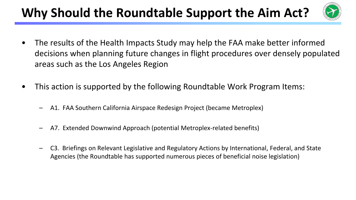# Why Should the Roundtable Support the Aim Act?



- The results of the Health Impacts Study may help the FAA make better informed decisions when planning future changes in flight procedures over densely populated areas such as the Los Angeles Region
- This action is supported by the following Roundtable Work Program Items:
	- A1. FAA Southern California Airspace Redesign Project (became Metroplex)
	- A7. Extended Downwind Approach (potential Metroplex-related benefits)
	- C3. Briefings on Relevant Legislative and Regulatory Actions by International, Federal, and State Agencies (the Roundtable has supported numerous pieces of beneficial noise legislation)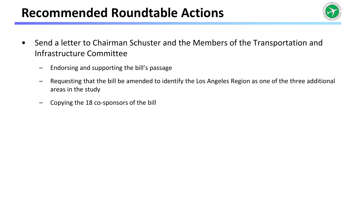### **Recommended Roundtable Actions**



- Send a letter to Chairman Schuster and the Members of the Transportation and Infrastructure Committee
	- Endorsing and supporting the bill's passage
	- Requesting that the bill be amended to identify the Los Angeles Region as one of the three additional areas in the study
	- Copying the 18 co-sponsors of the bill